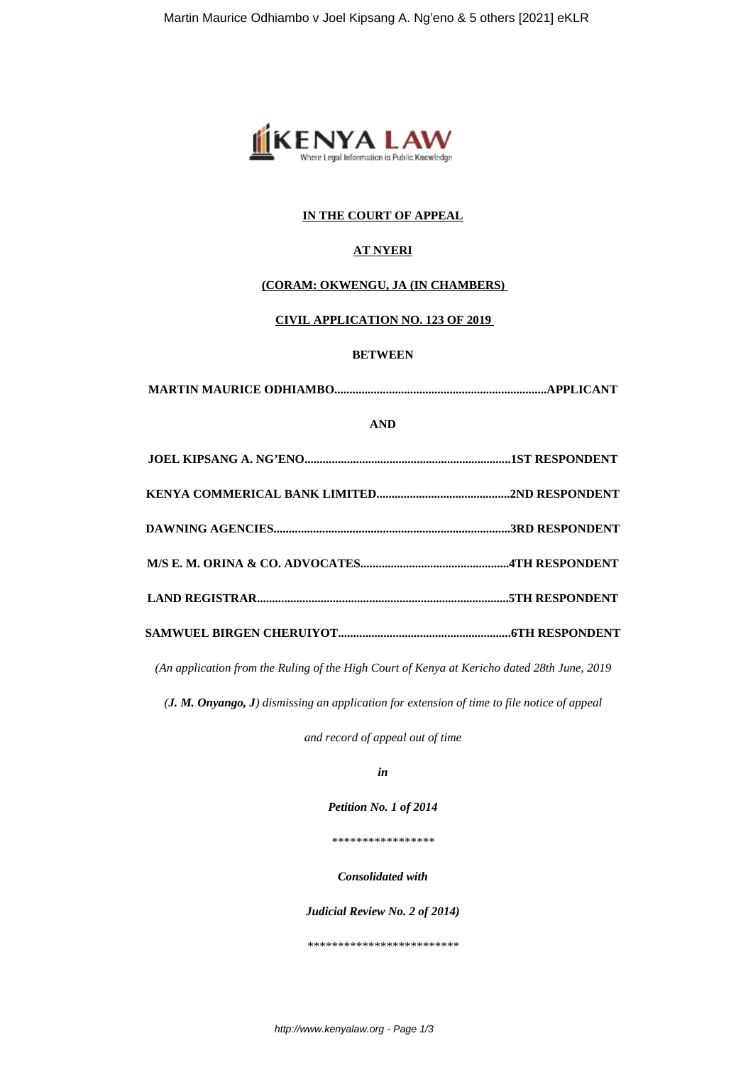

## **IN THE COURT OF APPEAL**

## **AT NYERI**

### **(CORAM: OKWENGU, JA (IN CHAMBERS)**

# **CIVIL APPLICATION NO. 123 OF 2019**

### **BETWEEN**

| <b>AND</b> |  |
|------------|--|
|            |  |
|            |  |
|            |  |
|            |  |
|            |  |
|            |  |

*(An application from the Ruling of the High Court of Kenya at Kericho dated 28th June, 2019*

*(J. M. Onyango, J) dismissing an application for extension of time to file notice of appeal*

*and record of appeal out of time*

*in*

*Petition No. 1 of 2014*

*\*\*\*\*\*\*\*\*\*\*\*\*\*\*\*\*\**

*Consolidated with*

*Judicial Review No. 2 of 2014)*

*\*\*\*\*\*\*\*\*\*\*\*\*\*\*\*\*\*\*\*\*\*\*\*\*\**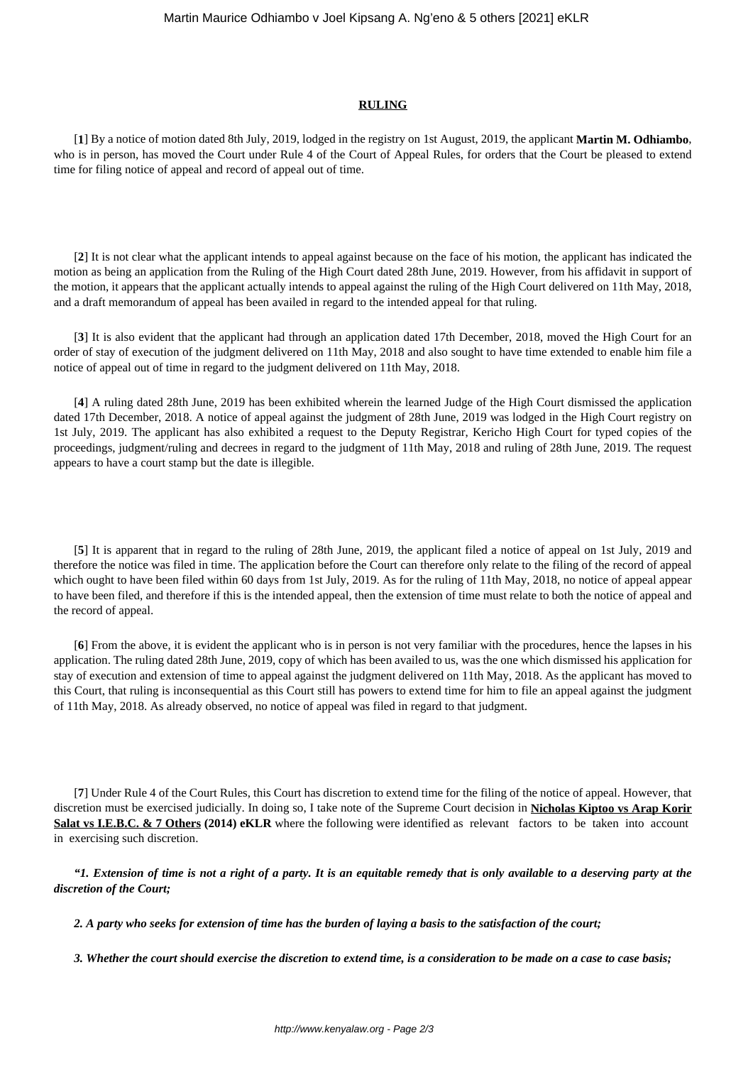### **RULING**

[**1**] By a notice of motion dated 8th July, 2019, lodged in the registry on 1st August, 2019, the applicant **Martin M. Odhiambo**, who is in person, has moved the Court under Rule 4 of the Court of Appeal Rules, for orders that the Court be pleased to extend time for filing notice of appeal and record of appeal out of time.

[**2**] It is not clear what the applicant intends to appeal against because on the face of his motion, the applicant has indicated the motion as being an application from the Ruling of the High Court dated 28th June, 2019. However, from his affidavit in support of the motion, it appears that the applicant actually intends to appeal against the ruling of the High Court delivered on 11th May, 2018, and a draft memorandum of appeal has been availed in regard to the intended appeal for that ruling.

[**3**] It is also evident that the applicant had through an application dated 17th December, 2018, moved the High Court for an order of stay of execution of the judgment delivered on 11th May, 2018 and also sought to have time extended to enable him file a notice of appeal out of time in regard to the judgment delivered on 11th May, 2018.

[**4**] A ruling dated 28th June, 2019 has been exhibited wherein the learned Judge of the High Court dismissed the application dated 17th December, 2018. A notice of appeal against the judgment of 28th June, 2019 was lodged in the High Court registry on 1st July, 2019. The applicant has also exhibited a request to the Deputy Registrar, Kericho High Court for typed copies of the proceedings, judgment/ruling and decrees in regard to the judgment of 11th May, 2018 and ruling of 28th June, 2019. The request appears to have a court stamp but the date is illegible.

[**5**] It is apparent that in regard to the ruling of 28th June, 2019, the applicant filed a notice of appeal on 1st July, 2019 and therefore the notice was filed in time. The application before the Court can therefore only relate to the filing of the record of appeal which ought to have been filed within 60 days from 1st July, 2019. As for the ruling of 11th May, 2018, no notice of appeal appear to have been filed, and therefore if this is the intended appeal, then the extension of time must relate to both the notice of appeal and the record of appeal.

[**6**] From the above, it is evident the applicant who is in person is not very familiar with the procedures, hence the lapses in his application. The ruling dated 28th June, 2019, copy of which has been availed to us, was the one which dismissed his application for stay of execution and extension of time to appeal against the judgment delivered on 11th May, 2018. As the applicant has moved to this Court, that ruling is inconsequential as this Court still has powers to extend time for him to file an appeal against the judgment of 11th May, 2018. As already observed, no notice of appeal was filed in regard to that judgment.

[**7**] Under Rule 4 of the Court Rules, this Court has discretion to extend time for the filing of the notice of appeal. However, that discretion must be exercised judicially. In doing so, I take note of the Supreme Court decision in **Nicholas Kiptoo vs Arap Korir Salat vs I.E.B.C. & 7 Others (2014) eKLR** where the following were identified as relevant factors to be taken into account in exercising such discretion.

*"1. Extension of time is not a right of a party. It is an equitable remedy that is only available to a deserving party at the discretion of the Court;*

*2. A party who seeks for extension of time has the burden of laying a basis to the satisfaction of the court;*

*3. Whether the court should exercise the discretion to extend time, is a consideration to be made on a case to case basis;*